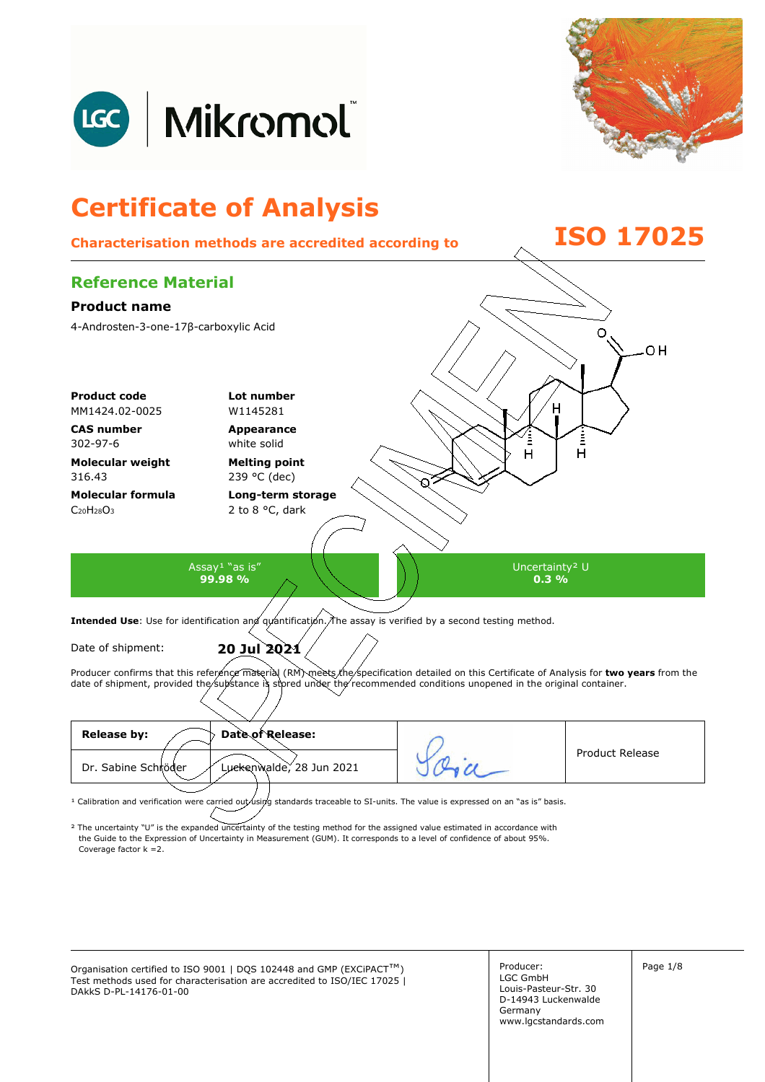



### **Certificate of Analysis Characterisation methods are accredited according to ISO 17025 Reference Material Product name**  4-Androsten-3-one-17β-carboxylic Acid O 0H **Product code Lot number** MM1424.02-0025 W1145281 **CAS number Appearance**  Ě 302-97-6 white solid  $\overline{H}$ Ĥ **Molecular weight Melting point**  316.43 239 °C (dec) **Molecular formula Long-term storage**   $C_{20}H_{28}O_3$ 2 to 8 °C, dark Assay<sup>1</sup> "as is" Uncertainty² U **99.98 % 0.3 %**  Intended Use: Use for identification and quantification. The assay is verified by a second testing method. Date of shipment: **20 Jul 2021**

Producer confirms that this reference material (RM) meets the specification detailed on this Certificate of Analysis for two years from the date of shipment, provided the substance is stored under the recommended conditions unopened in the original container.

| <b>Release by:</b><br>Date of Release:          |                 |
|-------------------------------------------------|-----------------|
| Dr. Sabine Schröder<br>Luckenwalde, 28 Jun 2021 | Product Release |
|                                                 |                 |

<sup>1</sup> Calibration and verification were carried out using standards traceable to SI-units. The value is expressed on an "as is" basis.

² The uncertainty "U" is the expanded uncertainty of the testing method for the assigned value estimated in accordance with Coverage factor k =2. the Guide to the Expression of Uncertainty in Measurement (GUM). It corresponds to a level of confidence of about 95%.

Organisation certified to ISO 9001 | DQS 102448 and GMP (EXCiPACT<sup>™</sup>) Producer: Page 1/8 Test methods used for characterisation are accredited to ISO/IEC 17025 | DAkkS D-PL-14176-01-00

Producer: LGC GmbH Louis-Pasteur-Str. 30 D-14943 Luckenwalde Germany www.lgcstandards.com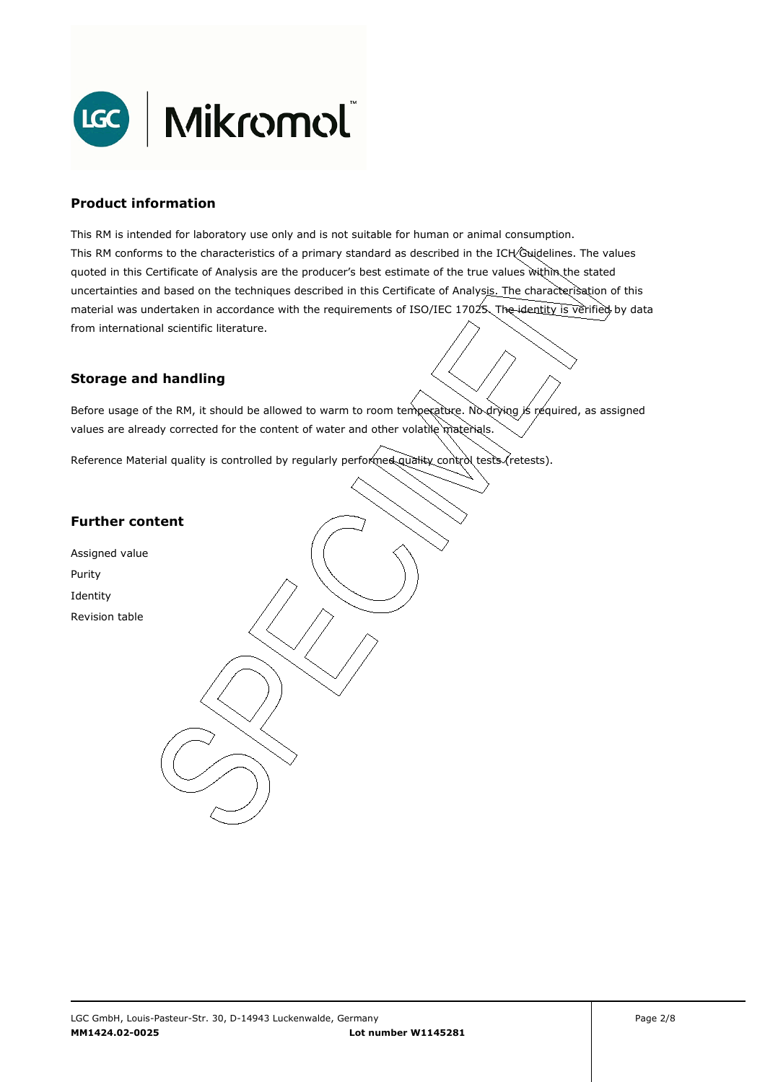

## **Product information**

This RM is intended for laboratory use only and is not suitable for human or animal consumption. This RM conforms to the characteristics of a primary standard as described in the ICH Guidelines. The values quoted in this Certificate of Analysis are the producer's best estimate of the true values within the stated uncertainties and based on the techniques described in this Certificate of Analysis. The characterisation of this material was undertaken in accordance with the requirements of ISO/IEC 17025. The identity is verified by data from international scientific literature.

## **Storage and handling**

Before usage of the RM, it should be allowed to warm to room temperature. No drying is required, as assigned values are already corrected for the content of water and other volatile materials.

Reference Material quality is controlled by regularly performed quality control tests (retests).

## **Further content**

Assigned value Purity Identity Revision table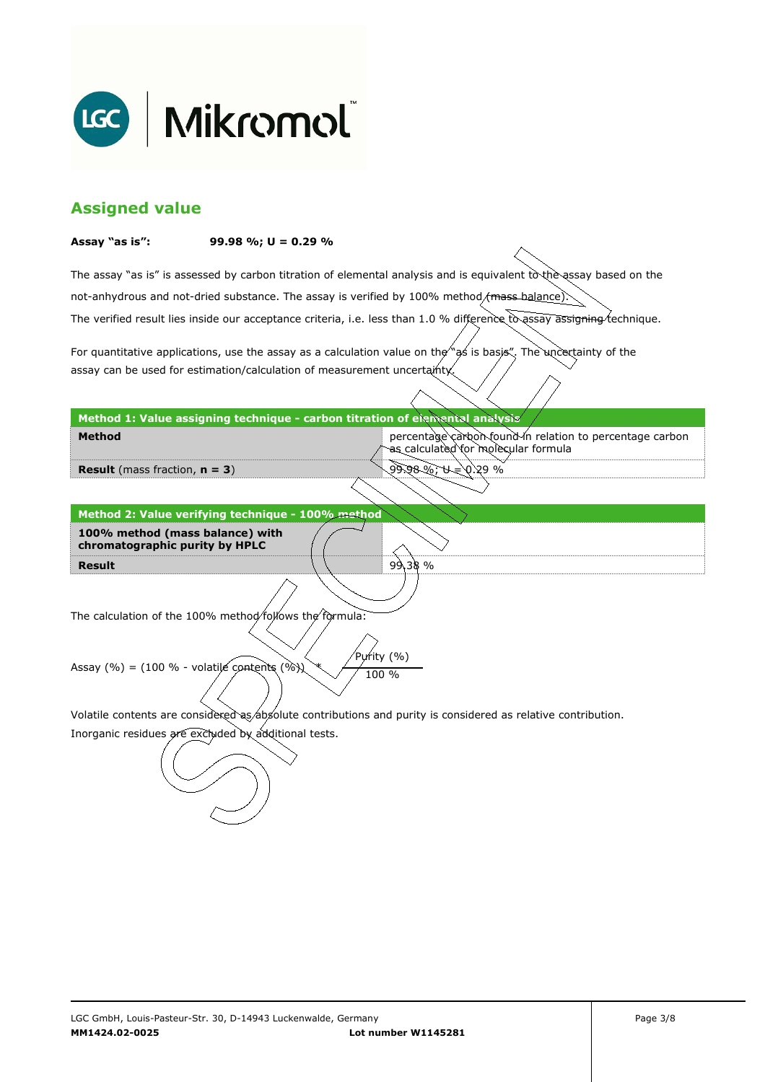

## **Assigned value**

#### **Assay "as is": 99.98 %; U = 0.29 %**

The assay "as is" is assessed by carbon titration of elemental analysis and is equivalent to the assay based on the The verified result lies inside our acceptance criteria, i.e. less than 1.0 % difference to assay assigning technique. not-anhydrous and not-dried substance. The assay is verified by 100% method/mass-balance)

For quantitative applications, use the assay as a calculation value on the  $\gamma$  as is basis". The uncertainty of the assay can be used for estimation/calculation of measurement uncertainty.

#### **Method 1: Value assigning technique - carbon titration of elemental analysis**

percentage carbon found in relation to percentage carbon as calculated for molecular formula

99.98 %; U = 0.29 %

99.38 %

**Result** (mass fraction, **n = 3**)

**Method** 

**Result Method 2: Value verifying technique - 100% method 100% method (mass balance) with chromatographic purity by HPLC** 

The calculation of the 100% method follows the formula:

Purity (%) Assay (%) = (100 % - volatile contents (%)  $\chi$  / 100 %

Volatile contents are considered as absolute contributions and purity is considered as relative contribution.

Inorganic residues are excluded by additional tests.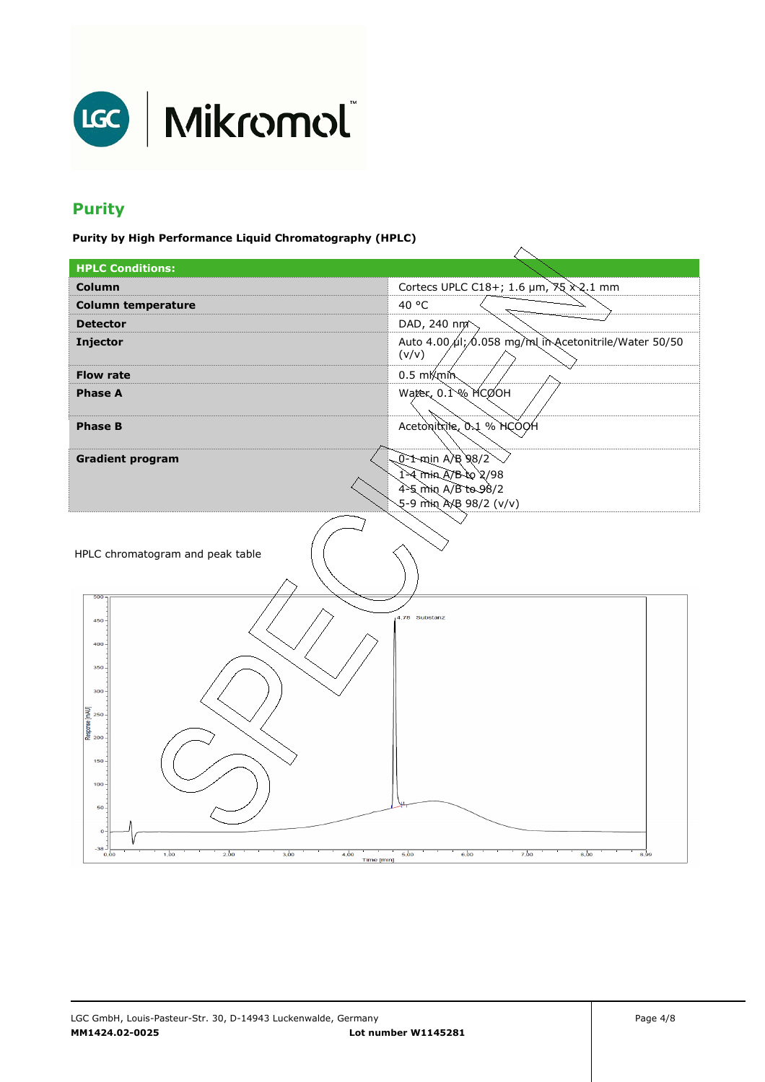

# **Purity**

**Purity by High Performance Liquid Chromatography (HPLC)** 

| <b>HPLC Conditions:</b>                                                                                                                                                 |                                                                |  |
|-------------------------------------------------------------------------------------------------------------------------------------------------------------------------|----------------------------------------------------------------|--|
| Column                                                                                                                                                                  | Cortecs UPLC C18+; 1.6 µm, 75 x2.1 mm                          |  |
| <b>Column temperature</b>                                                                                                                                               | 40 °C                                                          |  |
| <b>Detector</b>                                                                                                                                                         | DAD, 240 nm <sup>2</sup>                                       |  |
| Injector                                                                                                                                                                | Auto 4.00 µl; 0.058 mg/ml in Acetonitrile/Water 50/50<br>(v/v) |  |
| <b>Flow rate</b>                                                                                                                                                        | $0.5 \text{ mK}$ min                                           |  |
| <b>Phase A</b>                                                                                                                                                          | Water, $0.1\%$ MCOOH                                           |  |
| <b>Phase B</b>                                                                                                                                                          | Acetonitrile, 0.1 % HCOOH                                      |  |
| <b>Gradient program</b>                                                                                                                                                 | 0-1-min A/B 98/2                                               |  |
|                                                                                                                                                                         | 1-4 min A/B to 2/98                                            |  |
|                                                                                                                                                                         | 4-5 min A/B to 98/2<br>5-9 min AXB 98/2 (v/v)                  |  |
|                                                                                                                                                                         |                                                                |  |
| HPLC chromatogram and peak table<br>500                                                                                                                                 |                                                                |  |
| $450 -$<br>400<br>350<br>$300 -$<br>Response [mAU]<br>Response [mAU]<br>150<br>$100 -$<br>50<br>$\Omega$<br>-38 -<br>1,00<br>2,00<br>3,00<br>4,00<br>0,00<br>Time [min] | 4,78 Substanz<br>5,00<br>6,00<br>7,00<br>8,00<br>8,99          |  |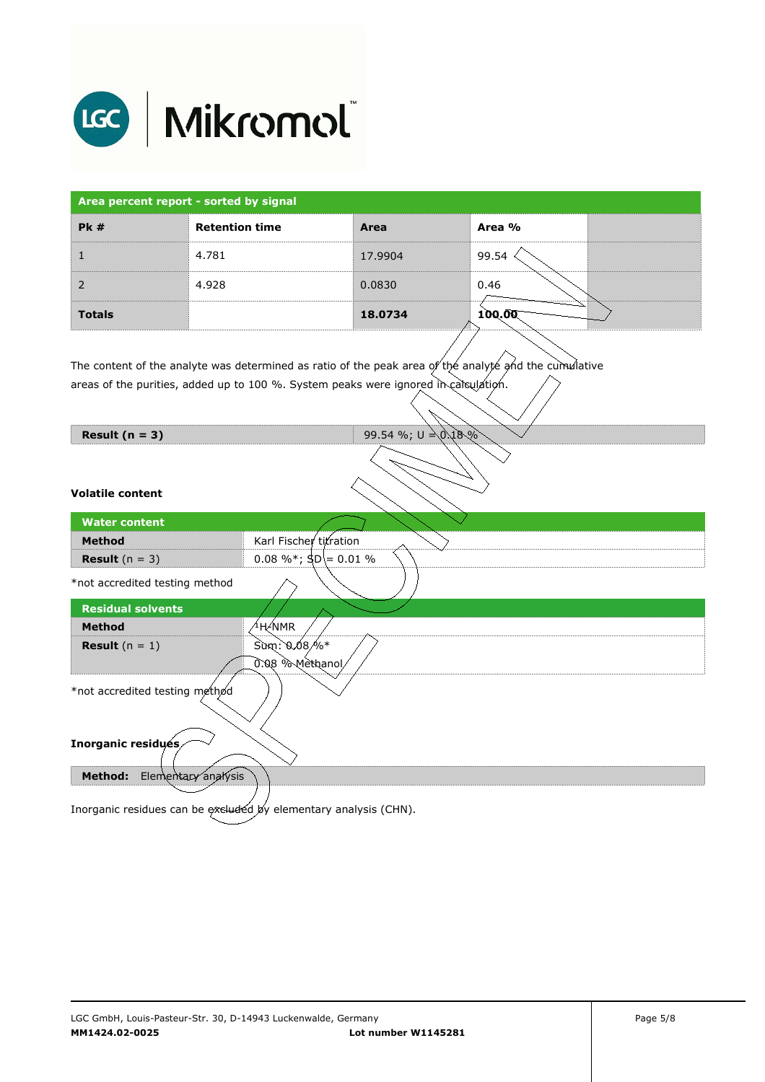

| Area percent report - sorted by signal |                       |         |        |  |
|----------------------------------------|-----------------------|---------|--------|--|
| PK#                                    | <b>Retention time</b> | Area    | Area % |  |
|                                        | 4.781                 | 17.9904 | 99.54  |  |
| $\mathcal{P}$                          | 4.928                 | 0.0830  | 0.46   |  |
| <b>Totals</b>                          |                       | 18.0734 | 100.00 |  |

The content of the analyte was determined as ratio of the peak area of the analyte and the cumulative areas of the purities, added up to 100 %. System peaks were ignored in calculation.

| Result $(n = 3)$                      | 99.54 %; $U = 0.18\%$                                            |  |  |
|---------------------------------------|------------------------------------------------------------------|--|--|
| <b>Volatile content</b>               |                                                                  |  |  |
| <b>Water content</b>                  |                                                                  |  |  |
| <b>Method</b>                         | Karl Fischer titration                                           |  |  |
| <b>Result</b> $(n = 3)$               | 0.08 %*; $\text{SD} = 0.01$ %                                    |  |  |
| *not accredited testing method        |                                                                  |  |  |
| <b>Residual solvents</b>              |                                                                  |  |  |
| <b>Method</b>                         | <sup>∕1</sup> H∕NMR                                              |  |  |
| <b>Result</b> $(n = 1)$               | $\sin: 0.08\%*$                                                  |  |  |
|                                       | 0.08 % Methanol                                                  |  |  |
| *not accredited testing method        |                                                                  |  |  |
| Inorganic residués                    |                                                                  |  |  |
| Elementary analysis<br><b>Method:</b> |                                                                  |  |  |
|                                       |                                                                  |  |  |
|                                       | Inorganic residues can be excluded by elementary analysis (CHN). |  |  |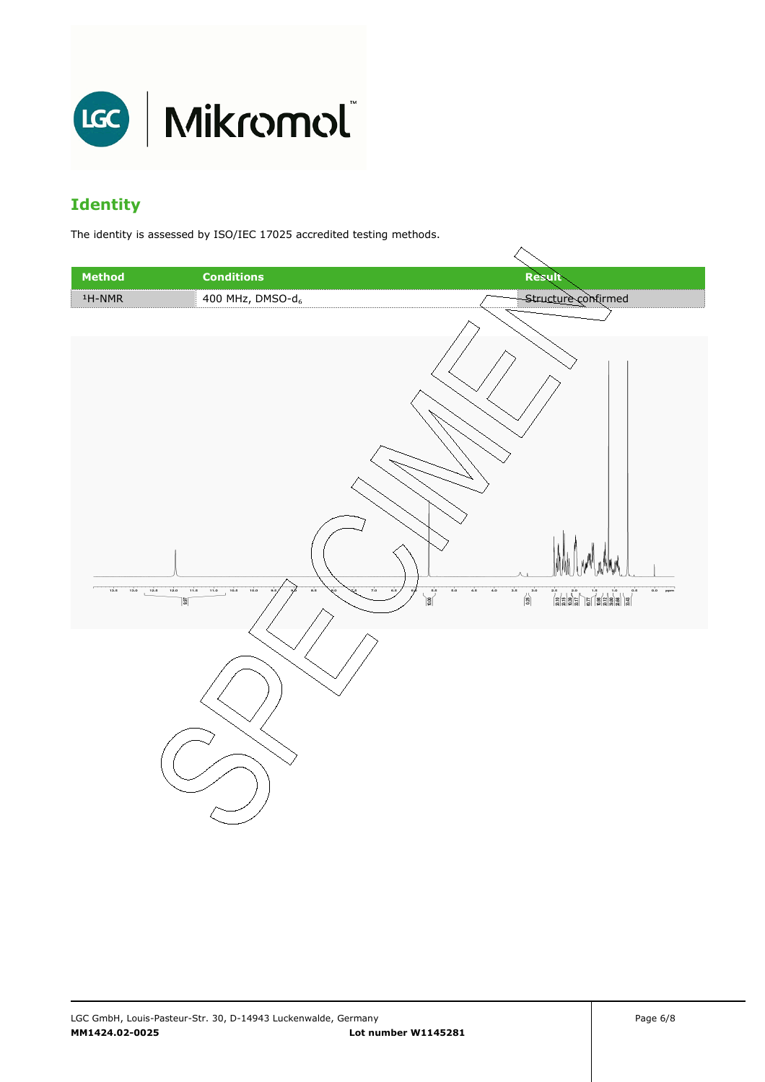

# **Identity**

The identity is assessed by ISO/IEC 17025 accredited testing methods.

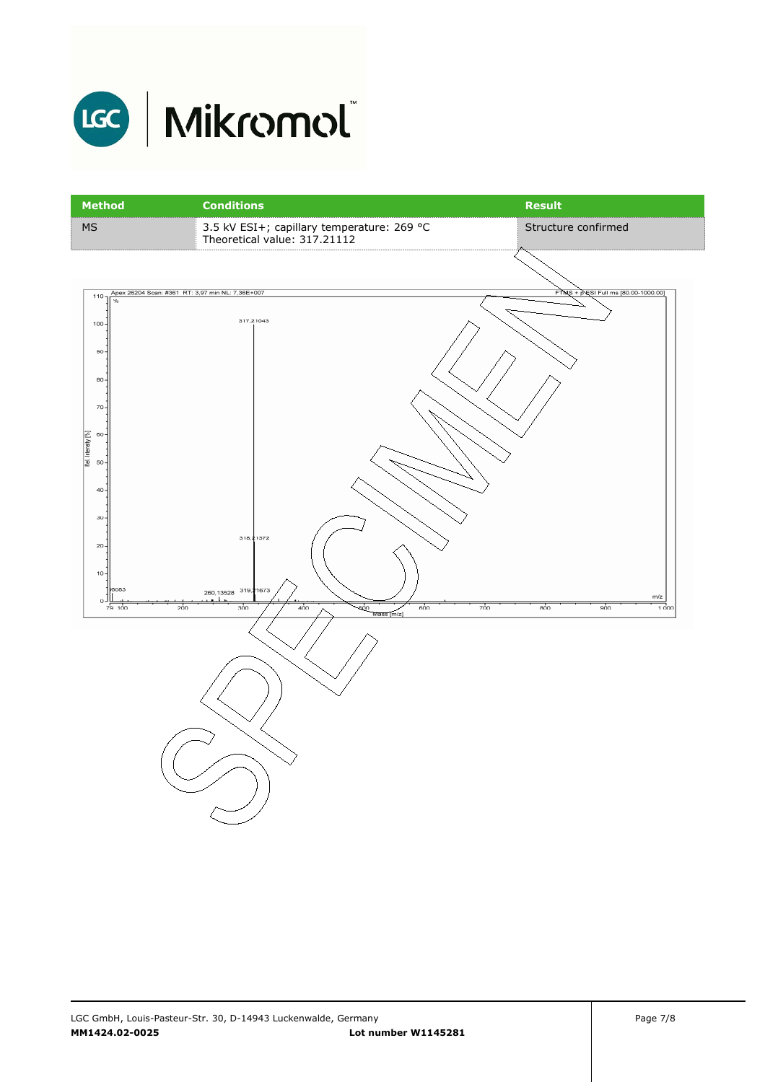